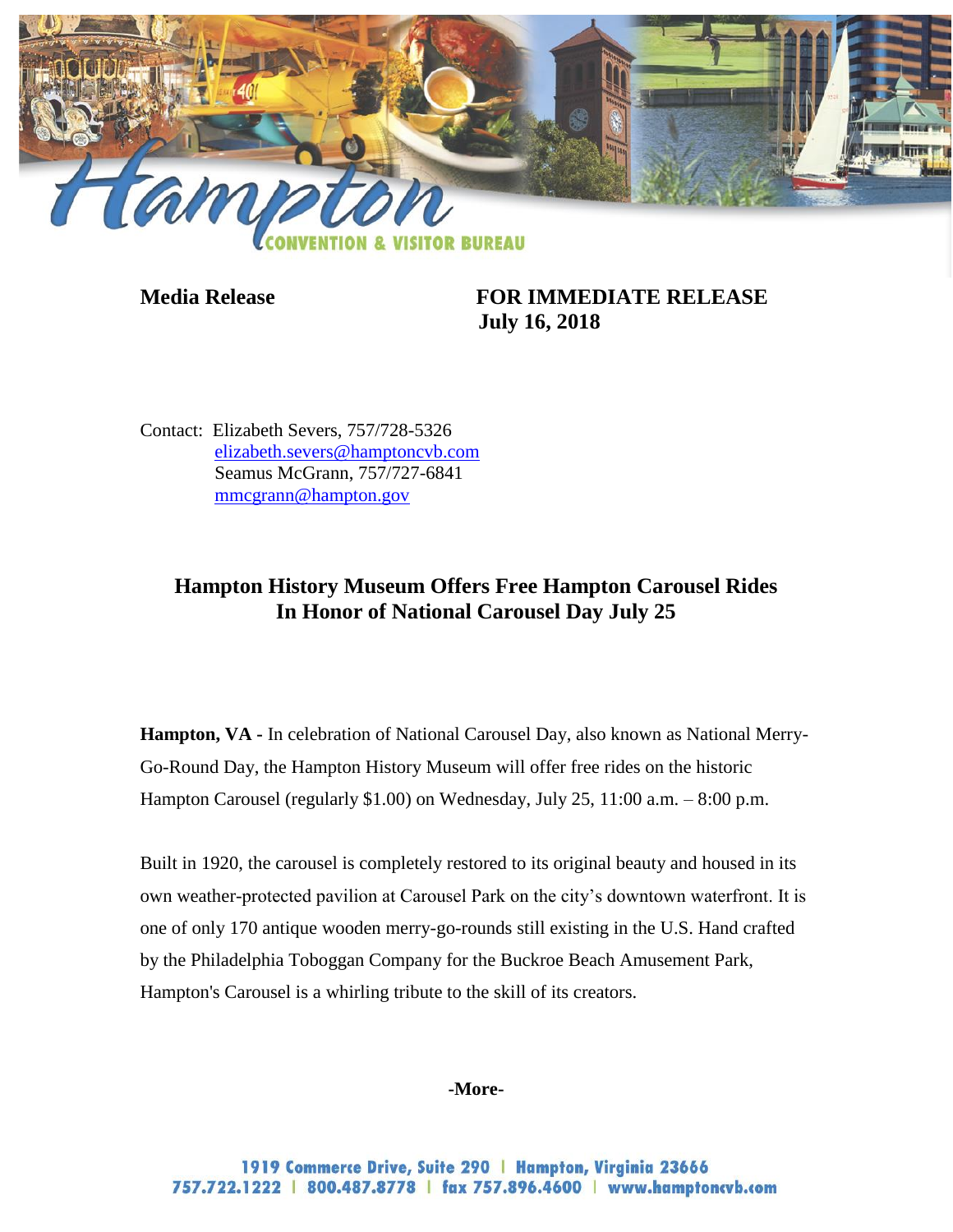

**Media Release FOR IMMEDIATE RELEASE July 16, 2018**

Contact: Elizabeth Severs, 757/728-5326 [elizabeth.severs@hamptoncvb.com](mailto:elizabeth.severs@hamptoncvb.com) Seamus McGrann, 757/727-6841 [mmcgrann@hampton.gov](mailto:mmcgrann@hampton.gov)

## **Hampton History Museum Offers Free Hampton Carousel Rides In Honor of National Carousel Day July 25**

**Hampton, VA -** In celebration of National Carousel Day, also known as National Merry-Go-Round Day, the Hampton History Museum will offer free rides on the historic Hampton Carousel (regularly \$1.00) on Wednesday, July 25, 11:00 a.m. – 8:00 p.m.

Built in 1920, the carousel is completely restored to its original beauty and housed in its own weather-protected pavilion at Carousel Park on the city's downtown waterfront. It is one of only 170 antique wooden merry-go-rounds still existing in the U.S. Hand crafted by the Philadelphia Toboggan Company for the Buckroe Beach Amusement Park, Hampton's Carousel is a whirling tribute to the skill of its creators.

## **-More-**

1919 Commerce Drive, Suite 290 | Hampton, Virginia 23666 757.722.1222 | 800.487.8778 | fax 757.896.4600 | www.hamptoncvb.com